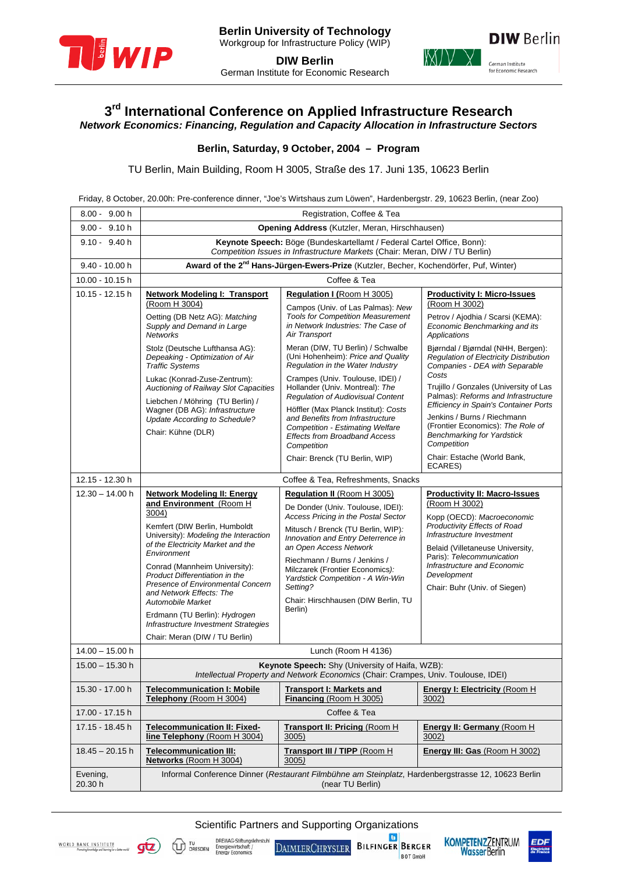

**DIW Berlin**  German Institute for Economic Research



# **3rd International Conference on Applied Infrastructure Research**

*Network Economics: Financing, Regulation and Capacity Allocation in Infrastructure Sectors* 

### **Berlin, Saturday, 9 October, 2004 – Program**

TU Berlin, Main Building, Room H 3005, Straße des 17. Juni 135, 10623 Berlin

Friday, 8 October, 20.00h: Pre-conference dinner, "Joe's Wirtshaus zum Löwen", Hardenbergstr. 29, 10623 Berlin, (near Zoo)

| $8.00 - 9.00 h$     | Registration, Coffee & Tea                                                                                                                                                                                                                                                                                                                                                                                                                                                      |                                                                                                                                                                                                                                                                                                                                                                                      |                                                                                                                                                                                                                                                                                                  |  |
|---------------------|---------------------------------------------------------------------------------------------------------------------------------------------------------------------------------------------------------------------------------------------------------------------------------------------------------------------------------------------------------------------------------------------------------------------------------------------------------------------------------|--------------------------------------------------------------------------------------------------------------------------------------------------------------------------------------------------------------------------------------------------------------------------------------------------------------------------------------------------------------------------------------|--------------------------------------------------------------------------------------------------------------------------------------------------------------------------------------------------------------------------------------------------------------------------------------------------|--|
| $9.00 - 9.10 h$     | <b>Opening Address</b> (Kutzler, Meran, Hirschhausen)                                                                                                                                                                                                                                                                                                                                                                                                                           |                                                                                                                                                                                                                                                                                                                                                                                      |                                                                                                                                                                                                                                                                                                  |  |
| $9.10 - 9.40 h$     | Keynote Speech: Böge (Bundeskartellamt / Federal Cartel Office, Bonn):<br>Competition Issues in Infrastructure Markets (Chair: Meran, DIW / TU Berlin)                                                                                                                                                                                                                                                                                                                          |                                                                                                                                                                                                                                                                                                                                                                                      |                                                                                                                                                                                                                                                                                                  |  |
| 9.40 - 10.00 h      | Award of the 2 <sup>nd</sup> Hans-Jürgen-Ewers-Prize (Kutzler, Becher, Kochendörfer, Puf, Winter)                                                                                                                                                                                                                                                                                                                                                                               |                                                                                                                                                                                                                                                                                                                                                                                      |                                                                                                                                                                                                                                                                                                  |  |
| $10.00 - 10.15$ h   | Coffee & Tea                                                                                                                                                                                                                                                                                                                                                                                                                                                                    |                                                                                                                                                                                                                                                                                                                                                                                      |                                                                                                                                                                                                                                                                                                  |  |
| 10.15 - 12.15 h     | <b>Network Modeling I: Transport</b><br>(Room H 3004)<br>Oetting (DB Netz AG): Matching<br>Supply and Demand in Large<br><b>Networks</b>                                                                                                                                                                                                                                                                                                                                        | <b>Regulation I (Room H 3005)</b><br>Campos (Univ. of Las Palmas): New<br><b>Tools for Competition Measurement</b><br>in Network Industries: The Case of<br>Air Transport                                                                                                                                                                                                            | <b>Productivity I: Micro-Issues</b><br>(Room H 3002)<br>Petrov / Ajodhia / Scarsi (KEMA):<br>Economic Benchmarking and its<br><b>Applications</b>                                                                                                                                                |  |
|                     | Stolz (Deutsche Lufthansa AG):<br>Depeaking - Optimization of Air<br><b>Traffic Systems</b>                                                                                                                                                                                                                                                                                                                                                                                     | Meran (DIW, TU Berlin) / Schwalbe<br>(Uni Hohenheim): Price and Quality<br>Regulation in the Water Industry                                                                                                                                                                                                                                                                          | Bjørndal / Bjørndal (NHH, Bergen):<br><b>Requlation of Electricity Distribution</b><br>Companies - DEA with Separable<br>Costs                                                                                                                                                                   |  |
|                     | Lukac (Konrad-Zuse-Zentrum):<br>Auctioning of Railway Slot Capacities<br>Liebchen / Möhring (TU Berlin) /<br>Wagner (DB AG): Infrastructure<br>Update According to Schedule?<br>Chair: Kühne (DLR)                                                                                                                                                                                                                                                                              | Crampes (Univ. Toulouse, IDEI) /<br>Hollander (Univ. Montreal): The<br><b>Regulation of Audiovisual Content</b><br>Höffler (Max Planck Institut): Costs<br>and Benefits from Infrastructure<br><b>Competition - Estimating Welfare</b><br><b>Effects from Broadband Access</b><br>Competition                                                                                        | Trujillo / Gonzales (University of Las<br>Palmas): Reforms and Infrastructure<br>Efficiency in Spain's Container Ports<br>Jenkins / Burns / Riechmann<br>(Frontier Economics): The Role of<br><b>Benchmarking for Yardstick</b><br>Competition                                                   |  |
|                     |                                                                                                                                                                                                                                                                                                                                                                                                                                                                                 | Chair: Brenck (TU Berlin, WIP)                                                                                                                                                                                                                                                                                                                                                       | Chair: Estache (World Bank,<br>ECARES)                                                                                                                                                                                                                                                           |  |
| 12.15 - 12.30 h     | Coffee & Tea, Refreshments, Snacks                                                                                                                                                                                                                                                                                                                                                                                                                                              |                                                                                                                                                                                                                                                                                                                                                                                      |                                                                                                                                                                                                                                                                                                  |  |
| $12.30 - 14.00 h$   | <b>Network Modeling II: Energy</b><br>and Environment (Room H<br>3004)<br>Kemfert (DIW Berlin, Humboldt<br>University): Modeling the Interaction<br>of the Electricity Market and the<br>Environment<br>Conrad (Mannheim University):<br>Product Differentiation in the<br>Presence of Environmental Concern<br>and Network Effects: The<br><b>Automobile Market</b><br>Erdmann (TU Berlin): Hydrogen<br>Infrastructure Investment Strategies<br>Chair: Meran (DIW / TU Berlin) | Regulation II (Room H 3005)<br>De Donder (Univ. Toulouse, IDEI):<br>Access Pricing in the Postal Sector<br>Mitusch / Brenck (TU Berlin, WIP):<br>Innovation and Entry Deterrence in<br>an Open Access Network<br>Riechmann / Burns / Jenkins /<br>Milczarek (Frontier Economics):<br>Yardstick Competition - A Win-Win<br>Setting?<br>Chair: Hirschhausen (DIW Berlin, TU<br>Berlin) | <b>Productivity II: Macro-Issues</b><br>(Room H 3002)<br>Kopp (OECD): Macroeconomic<br>Productivity Effects of Road<br>Infrastructure Investment<br>Belaid (Villetaneuse University,<br>Paris): Telecommunication<br>Infrastructure and Economic<br>Development<br>Chair: Buhr (Univ. of Siegen) |  |
| $14.00 - 15.00$ h   | Lunch (Room H 4136)                                                                                                                                                                                                                                                                                                                                                                                                                                                             |                                                                                                                                                                                                                                                                                                                                                                                      |                                                                                                                                                                                                                                                                                                  |  |
| $15.00 - 15.30$ h   | Keynote Speech: Shy (University of Haifa, WZB):<br>Intellectual Property and Network Economics (Chair: Crampes, Univ. Toulouse, IDEI)                                                                                                                                                                                                                                                                                                                                           |                                                                                                                                                                                                                                                                                                                                                                                      |                                                                                                                                                                                                                                                                                                  |  |
| 15.30 - 17.00 h     | <b>Telecommunication I: Mobile</b><br>Telephony (Room H 3004)                                                                                                                                                                                                                                                                                                                                                                                                                   | <b>Transport I: Markets and</b><br>Financing (Room H 3005)                                                                                                                                                                                                                                                                                                                           | <b>Energy I: Electricity (Room H)</b><br>3002)                                                                                                                                                                                                                                                   |  |
| 17.00 - 17.15 h     | Coffee & Tea                                                                                                                                                                                                                                                                                                                                                                                                                                                                    |                                                                                                                                                                                                                                                                                                                                                                                      |                                                                                                                                                                                                                                                                                                  |  |
| 17.15 - 18.45 h     | <b>Telecommunication II: Fixed-</b><br>line Telephony (Room H 3004)                                                                                                                                                                                                                                                                                                                                                                                                             | Transport II: Pricing (Room H<br>3005)                                                                                                                                                                                                                                                                                                                                               | <b>Energy II: Germany (Room H)</b><br>3002)                                                                                                                                                                                                                                                      |  |
| $18.45 - 20.15$ h   | <b>Telecommunication III:</b><br>Networks (Room H 3004)                                                                                                                                                                                                                                                                                                                                                                                                                         | Transport III / TIPP (Room H)<br>3005)                                                                                                                                                                                                                                                                                                                                               | Energy III: Gas (Room H 3002)                                                                                                                                                                                                                                                                    |  |
| Evening,<br>20.30 h | Informal Conference Dinner (Restaurant Filmbühne am Steinplatz, Hardenbergstrasse 12, 10623 Berlin<br>(near TU Berlin)                                                                                                                                                                                                                                                                                                                                                          |                                                                                                                                                                                                                                                                                                                                                                                      |                                                                                                                                                                                                                                                                                                  |  |

Scientific Partners and Supporting Organizations



du

DREWAG-Stiftungsl<br>Energiewirtschaft /<br>Energy Economics